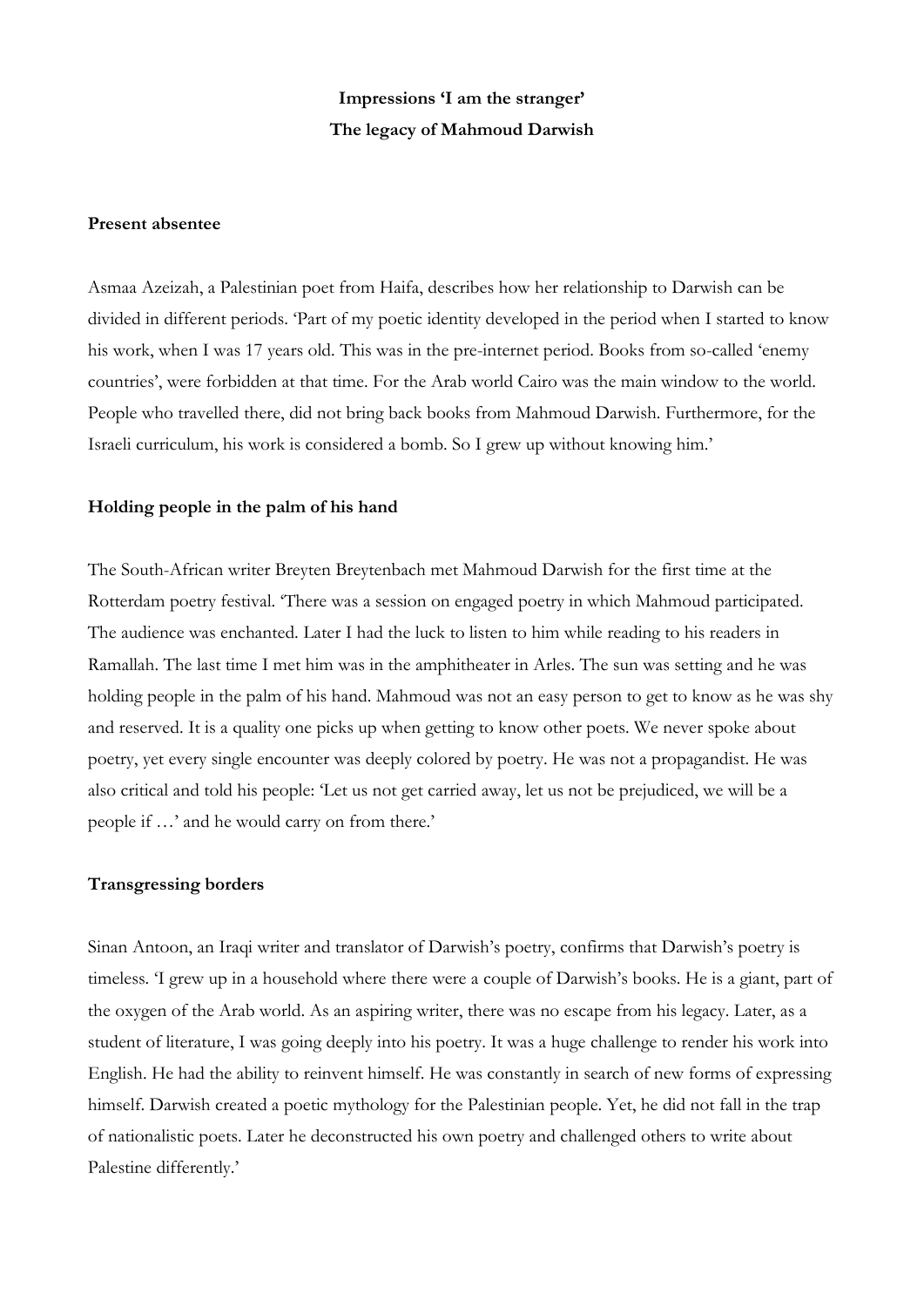# **Impressions 'I am the stranger' The legacy of Mahmoud Darwish**

# **Present absentee**

Asmaa Azeizah, a Palestinian poet from Haifa, describes how her relationship to Darwish can be divided in different periods. 'Part of my poetic identity developed in the period when I started to know his work, when I was 17 years old. This was in the pre-internet period. Books from so-called 'enemy countries', were forbidden at that time. For the Arab world Cairo was the main window to the world. People who travelled there, did not bring back books from Mahmoud Darwish. Furthermore, for the Israeli curriculum, his work is considered a bomb. So I grew up without knowing him.'

# **Holding people in the palm of his hand**

The South-African writer Breyten Breytenbach met Mahmoud Darwish for the first time at the Rotterdam poetry festival. 'There was a session on engaged poetry in which Mahmoud participated. The audience was enchanted. Later I had the luck to listen to him while reading to his readers in Ramallah. The last time I met him was in the amphitheater in Arles. The sun was setting and he was holding people in the palm of his hand. Mahmoud was not an easy person to get to know as he was shy and reserved. It is a quality one picks up when getting to know other poets. We never spoke about poetry, yet every single encounter was deeply colored by poetry. He was not a propagandist. He was also critical and told his people: 'Let us not get carried away, let us not be prejudiced, we will be a people if …' and he would carry on from there.'

#### **Transgressing borders**

Sinan Antoon, an Iraqi writer and translator of Darwish's poetry, confirms that Darwish's poetry is timeless. 'I grew up in a household where there were a couple of Darwish's books. He is a giant, part of the oxygen of the Arab world. As an aspiring writer, there was no escape from his legacy. Later, as a student of literature, I was going deeply into his poetry. It was a huge challenge to render his work into English. He had the ability to reinvent himself. He was constantly in search of new forms of expressing himself. Darwish created a poetic mythology for the Palestinian people. Yet, he did not fall in the trap of nationalistic poets. Later he deconstructed his own poetry and challenged others to write about Palestine differently.'